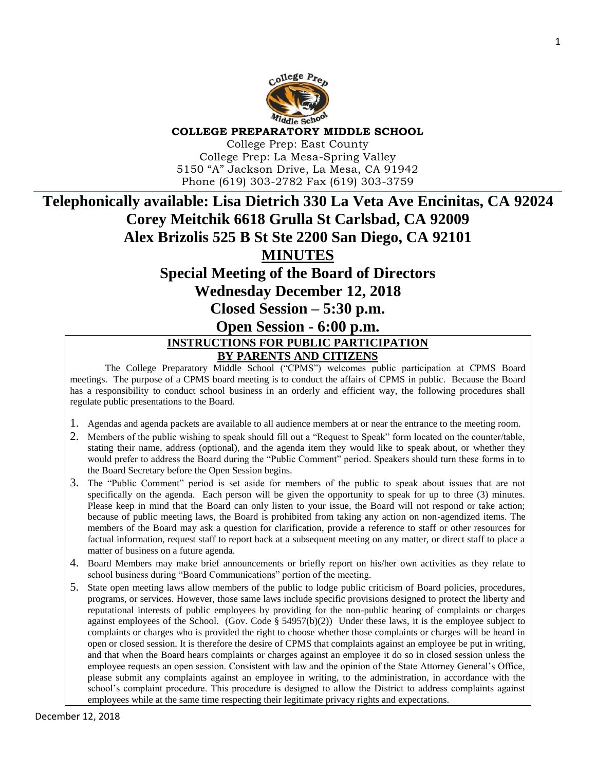

**COLLEGE PREPARATORY MIDDLE SCHOOL**

College Prep: East County College Prep: La Mesa-Spring Valley 5150 "A" Jackson Drive, La Mesa, CA 91942 Phone (619) 303-2782 Fax (619) 303-3759

## **Telephonically available: Lisa Dietrich 330 La Veta Ave Encinitas, CA 92024 Corey Meitchik 6618 Grulla St Carlsbad, CA 92009 Alex Brizolis 525 B St Ste 2200 San Diego, CA 92101 MINUTES Special Meeting of the Board of Directors**

**Wednesday December 12, 2018**

**Closed Session – 5:30 p.m.**

**Open Session - 6:00 p.m.**

## **INSTRUCTIONS FOR PUBLIC PARTICIPATION BY PARENTS AND CITIZENS**

The College Preparatory Middle School ("CPMS") welcomes public participation at CPMS Board meetings. The purpose of a CPMS board meeting is to conduct the affairs of CPMS in public. Because the Board has a responsibility to conduct school business in an orderly and efficient way, the following procedures shall regulate public presentations to the Board.

- 1. Agendas and agenda packets are available to all audience members at or near the entrance to the meeting room.
- 2. Members of the public wishing to speak should fill out a "Request to Speak" form located on the counter/table, stating their name, address (optional), and the agenda item they would like to speak about, or whether they would prefer to address the Board during the "Public Comment" period. Speakers should turn these forms in to the Board Secretary before the Open Session begins.
- 3. The "Public Comment" period is set aside for members of the public to speak about issues that are not specifically on the agenda. Each person will be given the opportunity to speak for up to three (3) minutes. Please keep in mind that the Board can only listen to your issue, the Board will not respond or take action; because of public meeting laws, the Board is prohibited from taking any action on non-agendized items. The members of the Board may ask a question for clarification, provide a reference to staff or other resources for factual information, request staff to report back at a subsequent meeting on any matter, or direct staff to place a matter of business on a future agenda.
- 4. Board Members may make brief announcements or briefly report on his/her own activities as they relate to school business during "Board Communications" portion of the meeting.
- 5. State open meeting laws allow members of the public to lodge public criticism of Board policies, procedures, programs, or services. However, those same laws include specific provisions designed to protect the liberty and reputational interests of public employees by providing for the non-public hearing of complaints or charges against employees of the School. (Gov. Code  $\S$  54957(b)(2)) Under these laws, it is the employee subject to complaints or charges who is provided the right to choose whether those complaints or charges will be heard in open or closed session. It is therefore the desire of CPMS that complaints against an employee be put in writing, and that when the Board hears complaints or charges against an employee it do so in closed session unless the employee requests an open session. Consistent with law and the opinion of the State Attorney General's Office, please submit any complaints against an employee in writing, to the administration, in accordance with the school's complaint procedure. This procedure is designed to allow the District to address complaints against employees while at the same time respecting their legitimate privacy rights and expectations.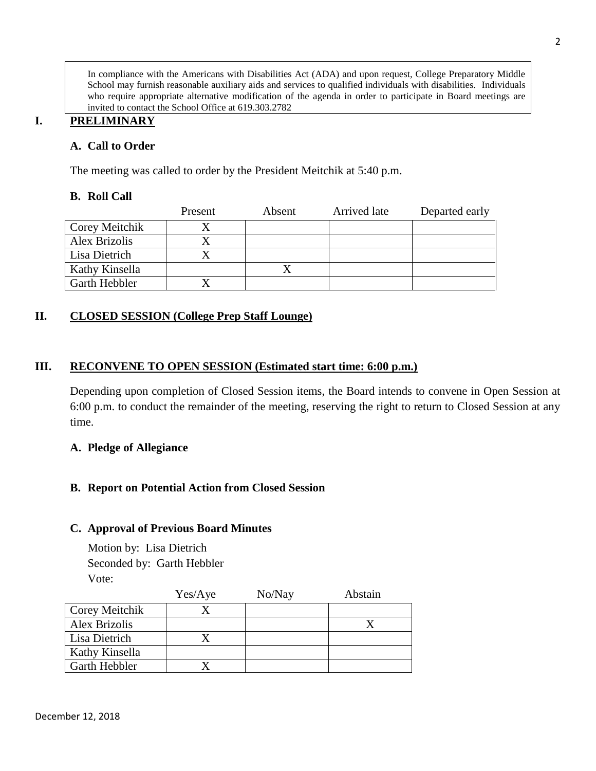In compliance with the Americans with Disabilities Act (ADA) and upon request, College Preparatory Middle School may furnish reasonable auxiliary aids and services to qualified individuals with disabilities. Individuals who require appropriate alternative modification of the agenda in order to participate in Board meetings are invited to contact the School Office at 619.303.2782

## **I. PRELIMINARY**

### **A. Call to Order**

The meeting was called to order by the President Meitchik at 5:40 p.m.

#### **B. Roll Call**

|                      | Present | Absent | Arrived late | Departed early |
|----------------------|---------|--------|--------------|----------------|
| Corey Meitchik       |         |        |              |                |
| Alex Brizolis        |         |        |              |                |
| Lisa Dietrich        |         |        |              |                |
| Kathy Kinsella       |         |        |              |                |
| <b>Garth Hebbler</b> |         |        |              |                |

## **II. CLOSED SESSION (College Prep Staff Lounge)**

#### **III. RECONVENE TO OPEN SESSION (Estimated start time: 6:00 p.m.)**

Depending upon completion of Closed Session items, the Board intends to convene in Open Session at 6:00 p.m. to conduct the remainder of the meeting, reserving the right to return to Closed Session at any time.

#### **A. Pledge of Allegiance**

#### **B. Report on Potential Action from Closed Session**

#### **C. Approval of Previous Board Minutes**

Motion by: Lisa Dietrich Seconded by: Garth Hebbler Vote:

|                       | Yes/Aye | No/Nay | Abstain |
|-----------------------|---------|--------|---------|
| <b>Corey Meitchik</b> |         |        |         |
| Alex Brizolis         |         |        |         |
| Lisa Dietrich         |         |        |         |
| Kathy Kinsella        |         |        |         |
| Garth Hebbler         |         |        |         |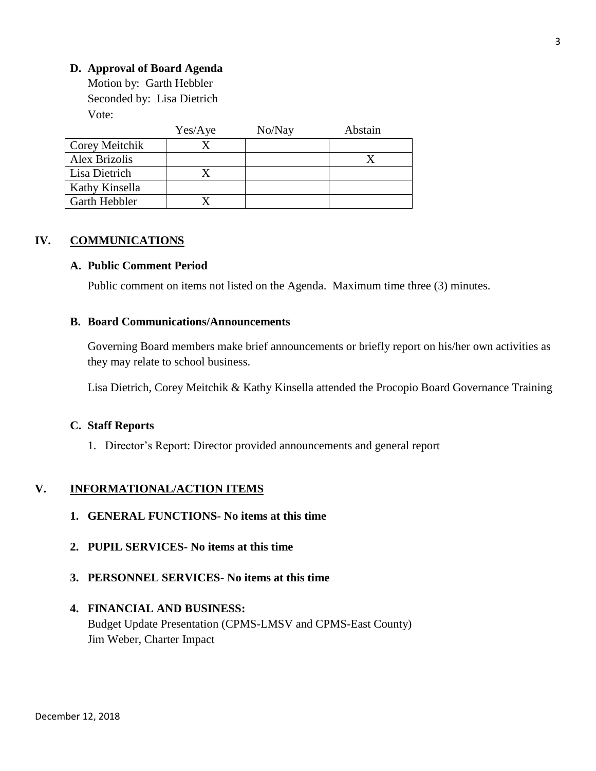### **D. Approval of Board Agenda**

Motion by: Garth Hebbler Seconded by: Lisa Dietrich Vote:

|                      | Yes/Aye | No/Nay | Abstain |
|----------------------|---------|--------|---------|
| Corey Meitchik       |         |        |         |
| <b>Alex Brizolis</b> |         |        |         |
| Lisa Dietrich        |         |        |         |
| Kathy Kinsella       |         |        |         |
| <b>Garth Hebbler</b> |         |        |         |

#### **IV. COMMUNICATIONS**

#### **A. Public Comment Period**

Public comment on items not listed on the Agenda. Maximum time three (3) minutes.

#### **B. Board Communications/Announcements**

Governing Board members make brief announcements or briefly report on his/her own activities as they may relate to school business.

Lisa Dietrich, Corey Meitchik & Kathy Kinsella attended the Procopio Board Governance Training

#### **C. Staff Reports**

1. Director's Report: Director provided announcements and general report

#### **V. INFORMATIONAL/ACTION ITEMS**

- **1. GENERAL FUNCTIONS- No items at this time**
- **2. PUPIL SERVICES- No items at this time**
- **3. PERSONNEL SERVICES- No items at this time**

#### **4. FINANCIAL AND BUSINESS:**

Budget Update Presentation (CPMS-LMSV and CPMS-East County) Jim Weber, Charter Impact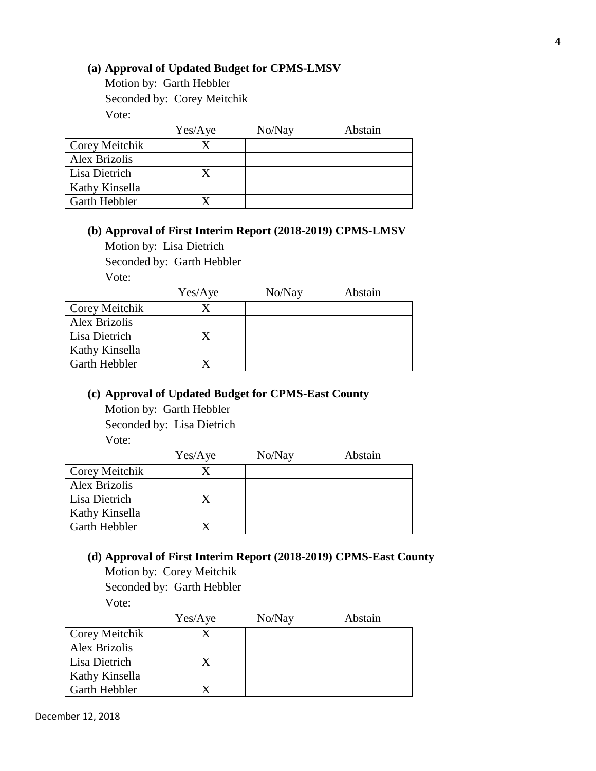#### **(a) Approval of Updated Budget for CPMS-LMSV**

Motion by: Garth Hebbler Seconded by: Corey Meitchik Vote:

|                      | Yes/Aye | No/Nay | Abstain |
|----------------------|---------|--------|---------|
| Corey Meitchik       |         |        |         |
| <b>Alex Brizolis</b> |         |        |         |
| Lisa Dietrich        |         |        |         |
| Kathy Kinsella       |         |        |         |
| <b>Garth Hebbler</b> |         |        |         |

## **(b) Approval of First Interim Report (2018-2019) CPMS-LMSV**

Motion by: Lisa Dietrich

Seconded by: Garth Hebbler

Vote:

|                      | Yes/Aye | No/Nay | Abstain |
|----------------------|---------|--------|---------|
| Corey Meitchik       |         |        |         |
| <b>Alex Brizolis</b> |         |        |         |
| Lisa Dietrich        |         |        |         |
| Kathy Kinsella       |         |        |         |
| Garth Hebbler        |         |        |         |

## **(c) Approval of Updated Budget for CPMS-East County**

Motion by: Garth Hebbler Seconded by: Lisa Dietrich

Vote:

|                      | Yes/Aye | No/Nay | Abstain |
|----------------------|---------|--------|---------|
| Corey Meitchik       |         |        |         |
| Alex Brizolis        |         |        |         |
| Lisa Dietrich        |         |        |         |
| Kathy Kinsella       |         |        |         |
| <b>Garth Hebbler</b> |         |        |         |

# **(d) Approval of First Interim Report (2018-2019) CPMS-East County**

Motion by: Corey Meitchik

Seconded by: Garth Hebbler

Vote:

|                | Yes/Aye | No/Nay | Abstain |
|----------------|---------|--------|---------|
| Corey Meitchik |         |        |         |
| Alex Brizolis  |         |        |         |
| Lisa Dietrich  |         |        |         |
| Kathy Kinsella |         |        |         |
| Garth Hebbler  |         |        |         |